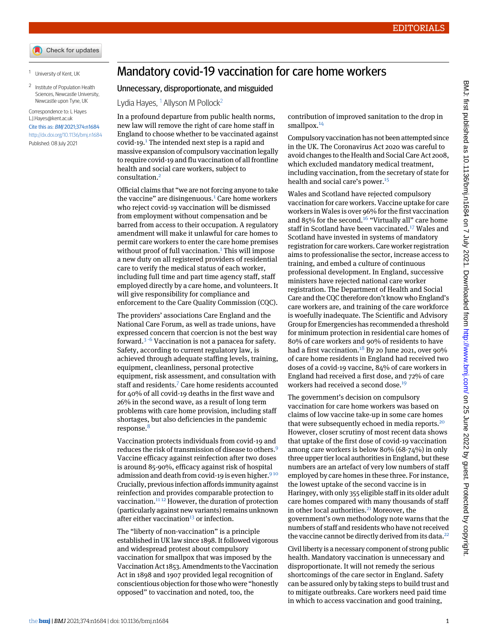<span id="page-0-1"></span><span id="page-0-0"></span><sup>1</sup> University of Kent, UK

<sup>2</sup> Institute of Population Health Sciences, Newcastle University, Newcastle upon Tyne, UK

Correspondence to: L Hayes L.J.Hayes@kent.ac.uk Cite this as: BMJ 2021;374:n1684 <http://dx.doi.org/10.1136/bmj.n1684> Published: 08 July 2021

## Mandatory covid-19 vaccination for care home workers

## Unnecessary, disproportionate, and misguided

Lydia Hayes,  $1$  Allyson M Pollock<sup>[2](#page-0-1)</sup>

In a profound departure from public health norms, new law will remove the right of care home staff in England to choose whether to be vaccinated against covid-19.[1](#page-1-0) The intended next step is a rapid and massive expansion of compulsory vaccination legally to require covid-19 and flu vaccination of all frontline health and social care workers, subject to consultation.[2](#page-1-1)

Official claims that "we are not forcing anyone to take the vaccine" are disingenuous. $1$  Care home workers who reject covid-19 vaccination will be dismissed from employment without compensation and be barred from access to their occupation. A regulatory amendment will make it unlawful for care homes to permit care workers to enter the care home premises without proof of full vaccination.<sup>[1](#page-1-0)</sup> This will impose a new duty on all registered providers of residential care to verify the medical status of each worker, including full time and part time agency staff, staff employed directly by a care home, and volunteers. It will give responsibility for compliance and enforcement to the Care Quality Commission (CQC).

The providers' associations Care England and the National Care Forum, as well as trade unions, have expressed concern that coercion is not the best way forward.<sup>[3](#page-1-2) [-](#page-1-3)[6](#page-1-4)</sup> Vaccination is not a panacea for safety. Safety, according to current regulatory law, is achieved through adequate staffing levels, training, equipment, cleanliness, personal protective equipment, risk assessment, and consultation with staff and residents.<sup>[7](#page-1-5)</sup> Care home residents accounted for 40% of all covid-19 deaths in the first wave and 26% in the second wave, as a result of long term problems with care home provision, including staff shortages, but also deficiencies in the pandemic response.<sup>[8](#page-1-6)</sup>

Vaccination protects individuals from covid-19 and reduces the risk of transmission of disease to others.[9](#page-1-7) Vaccine efficacy against reinfection after two doses is around 85-90%, efficacy against risk of hospital admission and death from covid-1[9](#page-1-7) is even higher.<sup>910</sup> Crucially, previous infection affords immunity against reinfection and provides comparable protection to vaccination.<sup>[11](#page-1-9) [12](#page-1-10)</sup> However, the duration of protection (particularly against new variants) remains unknown after either vaccination $13$  or infection.

The "liberty of non-vaccination" is a principle established in UK law since 1898. It followed vigorous and widespread protest about compulsory vaccination for smallpox that was imposed by the Vaccination Act 1853. Amendments to the Vaccination Act in 1898 and 1907 provided legal recognition of conscientious objection for those who were "honestly opposed" to vaccination and noted, too, the

contribution of improved sanitation to the drop in smallpox.<sup>[14](#page-1-12)</sup>

Compulsory vaccination has not been attempted since in the UK. The Coronavirus Act 2020 was careful to avoid changes to the Health and Social Care Act 2008, which excluded mandatory medical treatment, including vaccination, from the secretary of state for health and social care's power.<sup>[15](#page-1-13)</sup>

Wales and Scotland have rejected compulsory vaccination for care workers. Vaccine uptake for care workers in Wales is over 96% for the first vaccination and 85% for the second.<sup>[16](#page-1-14)</sup> "Virtually all" care home staff in Scotland have been vaccinated.<sup>[17](#page-1-15)</sup> Wales and Scotland have invested in systems of mandatory registration for care workers. Care worker registration aims to professionalise the sector, increase access to training, and embed a culture of continuous professional development. In England, successive ministers have rejected national care worker registration. The Department of Health and Social Care and the CQC therefore don't know who England's care workers are, and training of the care workforce is woefully inadequate. The Scientific and Advisory Group for Emergencies has recommended a threshold for minimum protection in residential care homes of 80% of care workers and 90% of residents to have had a first vaccination.<sup>[18](#page-1-16)</sup> By 20 June 2021, over 90% of care home residents in England had received two doses of a covid-19 vaccine, 84% of care workers in England had received a first dose, and 72% of care workers had received a second dose.<sup>[19](#page-1-17)</sup>

The government's decision on compulsory vaccination for care home workers was based on claims of low vaccine take-up in some care homes that were subsequently echoed in media reports.<sup>[20](#page-1-18)</sup> However, closer scrutiny of most recent data shows that uptake of the first dose of covid-19 vaccination among care workers is below 80% (68-74%) in only three upper tier local authorities in England, but these numbers are an artefact of very low numbers of staff employed by care homes in these three. For instance, the lowest uptake of the second vaccine is in Haringey, with only 355 eligible staff in its older adult care homes compared with many thousands of staff in other local authorities.<sup>[21](#page-1-19)</sup> Moreover, the government's own methodology note warns that the numbers of staff and residents who have not received the vaccine cannot be directly derived from its data.<sup>[22](#page-1-20)</sup>

Civil liberty is a necessary component of strong public health. Mandatory vaccination is unnecessary and disproportionate. It will not remedy the serious shortcomings of the care sector in England. Safety can be assured only by taking steps to build trust and to mitigate outbreaks. Care workers need paid time in which to access vaccination and good training,